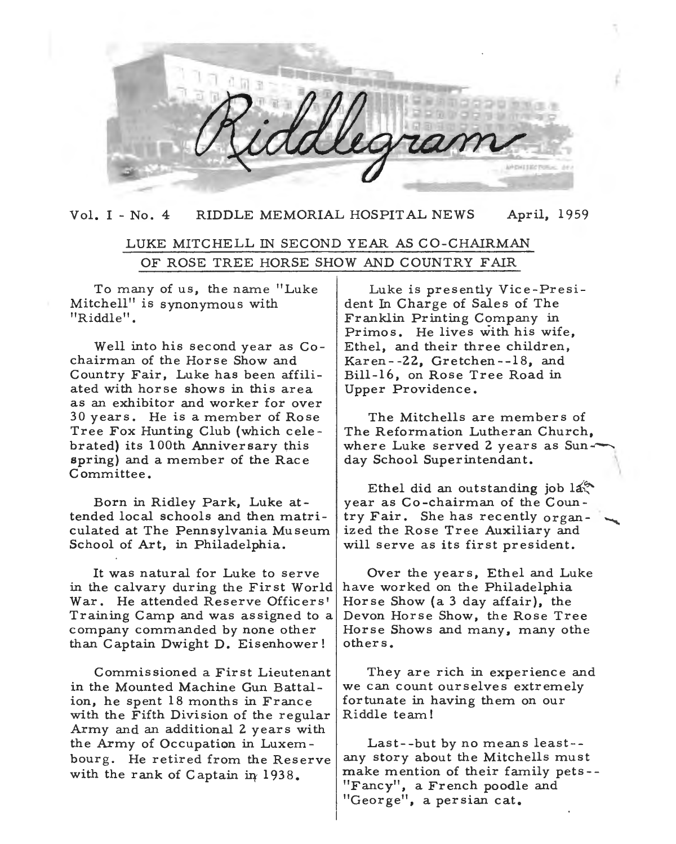Vol. I - No. 4 RIDDLE MEMORIAL HOSPITAL NEWS April, 1959

# LUKE MITCHELL IN SECOND YEAR AS CO-CHAIRMAN OF ROSE TREE HORSE SHOW AND COUNTRY FAIR

To many of us, the name "Luke Mitchell" is synonymous with "Riddle".

Well into his second year as Cochairman of the Horse Show and Country Fair, Luke has been affiliated with horse shows in this area as an exhibitor and worker for over 30 years. He is a member of Rose Tree Fox Hunting Club (which cele br ated) its 1 00th Anniversary this spring) and a member of the Race Committee.

Born in Ridley Park, Luke attended local schools and then matriculated at The Pennsylvania Museum School of Art, in Philadelphia.

in the calvary during the First World have worked on the Philadelphia War. He attended Reserve Officers' | Horse Show (a 3 day affair), the Training Camp and was assigned to a Devon Horse Show, the Rose Tree company commanded by none other Horse Shows and many, many othe than Captain Dwight D. Eisenhower!  $\vert$  others.

Commissioned a First Lieutenant in the Mounted Machine Gun Battalion, he spent 18 months in France with the Fifth Division of the regular Army and an additional 2 years with the Army of Occupation in Luxembourg. He retired from the Reserve with the rank of Captain in 1938.

Luke is presently Vice-President In Charge of Sales of The Franklin Printing Company in Primos. He lives with his wife, Ethel, and their three children, Karen- -22, Gretchen--18, and Bill-16, on Rose Tree Road in Upper Providence.

The Mitchells are members of The Reformation Lutheran Church, where Luke served 2 years as Sunday School Superintendant.

Ethel did an outstanding job  $14\%$ year as Co-chairman of the Country Fair. She has recently organized the Rose Tree Auxiliary and will serve as its first president.

It was natural for Luke to serve | Over the years, Ethel and Luke

They are rich in experience and we can count ourselves extremely fortunate in having them on our Riddle team!

Last--but by no means least- any story about the Mitchells must make mention of their family pets - - "Fancy", a French poodle and "George", a persian cat.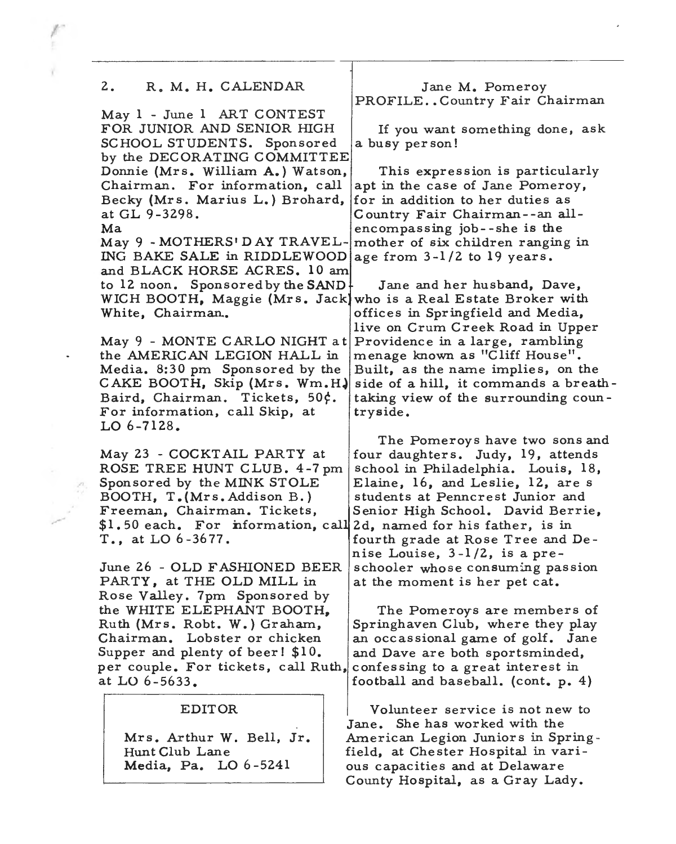#### 2. R. M. H. CALENDAR

May 1 - June **1** ART CONTEST FOR JUNIOR AND SENIOR HIGH SCHOOL STUDENTS. Sponsored by the DECORATING COMMITTEE Donnie (Mrs. William A.) Watson, This expression is particularly Chairman. For information, call apt in the case of Jane Pomeroy, Becky (Mrs. Marius L.) Brohard, for in addition to her duties as at GL 9-3298. Country Fair Chairman--an all-

May 9 - MOTHERS' DAY TRAVEL- mother of six children ranging in ING BAKE SALE in RIDDLEWOOD age from  $3-1/2$  to 19 years. and BLACK HORSE ACRES. **10** am to **12** noon. Sponsored by the **SAND**  WICH BOOTH, Maggie (Mrs. Jack) who is a Real Estate Broker with White, Chairman..

May 9 - MONTE CARLO NIGHT at the AMERICAN LEGION HALL in Media. 8:30 pm Sponsored by the CAKE BOOTH, Skip (Mrs. Wm.H~ Baird, Chairman. Tickets, 50¢. For information, call Skip, at LO 6-7128.

May 23 - COCKTAIL PARTY at ROSE TREE HUNT CLUB. 4-7pm Sponsored by the MINK STOLE BOOTH, T. (Mrs. Addison B.) Freeman, Chairman. Tickets, \$1.50 each. For information, call 2d, named for his father, is in T., at LO 6 -36 77.

June 26 - OLD FASHIONED BEER PARTY, at THE OLD MILL in Rose Valley. 7pm Sponsored by Supper and plenty of beer!  $$10.$  and Dave are both sportsminded, per couple. For tickets, call Ruth, confessing to a great interest in at LO  $6-5633$ .  $| football \text{ and baseball. (cont. p. 4)}$ 

#### EDITOR

Mrs. Arthur W. Bell, Jr. Hunt Club Lane **Media,** Pa. LO 6-5241

Jane **M.** Pomeroy PROFILE..Country Fair Chairman

If you want something done, ask a busy per son!

Ma encompassing job--she is the

Jane and her husband, Dave, offices in Springfield and Media, live on Crum Creek Road in Upper Providence in a large, rambling menage known as "Cliff House". Built, as the name implies, on the side of a hill, it commands a breathtaking view of the surrounding coun try side.

The Pomeroys have two sons and four daughters. Judy, 19, attends school in Philadelphia. Louis, 18, Elaine, 16, and Leslie, 12, are s students at Penncrest Junior and Senior High School. David Berrie, fourth grade at Rose Tree and De nise Louise, 3-1 /2, is a preschooler whose consuming passion at the moment is her pet cat.

the WHITE ELEPHANT BOOTH,  $\parallel$  The Pomeroys are members of Ruth (Mrs. Robt. W.) Graham, Springhaven Club, where they play Chairman. Lobster or chicken  $|$  an occassional game of golf. Jane

> Volunteer service is not new to Jane. She has worked with the American Legion Juniors in Springfield, at Chester Hospital in various capacities and at Delaware County Hospital, as a Gray Lady.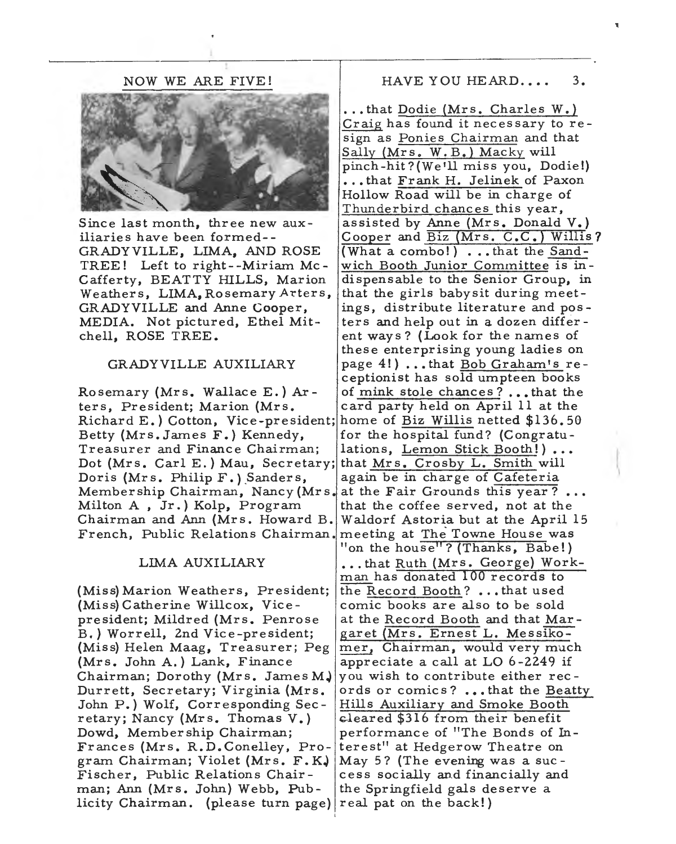NOW WE ARE FIVE!



Since last month, three new auxiliaries have been formed- - GRADYVILLE, LIMA, AND ROSE TREE! Left to right- -Miriam Mc-Cafferty, BEATTY HILLS, Marion Weathers, LIMA, Rosemary Arters, GRADY VILLE and Anne Cooper, MEDIA. Not pictured, Ethel Mitchell, ROSE TREE.

#### GRADY VILLE AUXILIARY

ters, President; Marion (Mrs. card party held on April 11 at the Richard E.) Cotton, Vice-president; home of Biz Willis netted \$136. 50 Betty (Mrs. James  $F$ .) Kennedy, for the hospital fund? (Congratu-Treasurer and Finance Chairman; lations, Lemon Stick Booth!) •.• Dot (Mrs. Carl E.) Mau, Secretary; that Mrs. Crosby L. Smith will Doris (Mrs. Philip  $F$ .) Sanders, again be in charge of Cafeteria Member ship Chairman, Nancy (Mrs. at the Fair Grounds this year?... Milton A, Jr.) Kolp, Program  $\int$  that the coffee served, not at the Chairman and Ann (Mrs. Howard B. Waldorf Astoria but at the April 15 French, Public Relations Chairman. meeting at The Towne House was

#### LIMA AUXILIARY

(Miss) Marion Weathers, President; (Miss) Catherine Willcox, Vicepre sident; Mildred (Mrs. Penrose B.) Worrell, 2nd Vice-president; (Miss) Helen Maag, Treasurer; Peg (Mrs. John A.) Lank, Finance Chairman; Dorothy (Mrs. James **MJ**  Durrett, Secretary; Virginia (Mrs. John P.) Wolf, Corresponding Sec retary; Nancy (Mrs. Thomas V.) Dowd, Membership Chairman; Frances (Mrs. R.D.Conelley, Program Chairman; Violet (Mrs. F. **KJ**  Fischer, Public Relations Chair man; Ann (Mrs, John) Webb, Publicity Chairman. (please turn page)

### HAVE YOU HEARD.... 3.

...that Dodie (Mrs. Charles W.) Craig has found it necessary to resign as Ponies Chairman and that Sally (Mrs. **W.** B.) Macky will pinch-hit?(We <sup>1</sup>ll miss you, Dodie!) •.• that Frank H. Jelinek of Paxon Hollow Road will be in charge of Thunderbird chances this year, assisted by Anne (Mrs. Donald V.) Cooper and Biz (Mrs. C.C.) Willis? (What a combo!) . . . that the Sandwich Booth Junior Committee is indispensable to the Senior Group, in that the girls babysit during meetings, distribute literature and pos ters and help out in a dozen differ ent ways? (Look for the names of these enterprising young ladies on page  $4!$ ) ... that Bob Graham's receptionist has sold umpteen books Rosemary (Mrs. Wallace E.) Ar- of mink stole chances?...that the "on the house"? (Thanks, Babe!) ... that Ruth (Mrs. George) Workman has donated 100 records to the Record Booth? ..• that used comic books are also to be sold at the Record Booth and that Mar garet (Mrs. Ernest L. Messikomer, Chairman, would very much appreciate a call at LO 6-2249 if you wish to contribute either rec ords or comics? ••• that the Beatty Hills Auxiliary and Smoke Booth cleared \$316 from their benefit performance of "The Bonds of Interest" at Hedgerow Theatre on May 5? (The evening was a sue cess socially and financially and the Springfield gals deserve a real pat on the back!)